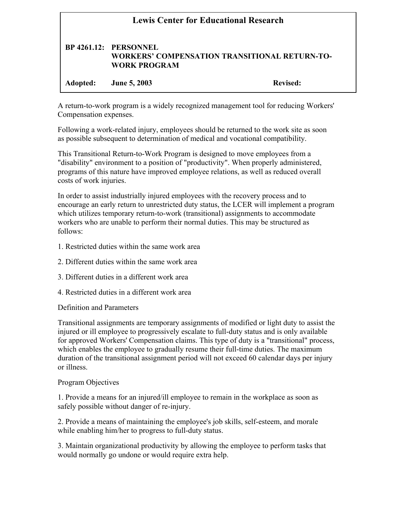| <b>Lewis Center for Educational Research</b> |                                                     |                                                      |
|----------------------------------------------|-----------------------------------------------------|------------------------------------------------------|
|                                              | <b>BP 4261.12: PERSONNEL</b><br><b>WORK PROGRAM</b> | <b>WORKERS' COMPENSATION TRANSITIONAL RETURN-TO-</b> |
| Adopted:                                     | <b>June 5, 2003</b>                                 | Revised:                                             |

A return-to-work program is a widely recognized management tool for reducing Workers' Compensation expenses.

Following a work-related injury, employees should be returned to the work site as soon as possible subsequent to determination of medical and vocational compatibility.

This Transitional Return-to-Work Program is designed to move employees from a "disability" environment to a position of "productivity". When properly administered, programs of this nature have improved employee relations, as well as reduced overall costs of work injuries.

In order to assist industrially injured employees with the recovery process and to encourage an early return to unrestricted duty status, the LCER will implement a program which utilizes temporary return-to-work (transitional) assignments to accommodate workers who are unable to perform their normal duties. This may be structured as follows:

- 1. Restricted duties within the same work area
- 2. Different duties within the same work area
- 3. Different duties in a different work area
- 4. Restricted duties in a different work area

Definition and Parameters

Transitional assignments are temporary assignments of modified or light duty to assist the injured or ill employee to progressively escalate to full-duty status and is only available for approved Workers' Compensation claims. This type of duty is a "transitional" process, which enables the employee to gradually resume their full-time duties. The maximum duration of the transitional assignment period will not exceed 60 calendar days per injury or illness.

## Program Objectives

1. Provide a means for an injured/ill employee to remain in the workplace as soon as safely possible without danger of re-injury.

2. Provide a means of maintaining the employee's job skills, self-esteem, and morale while enabling him/her to progress to full-duty status.

3. Maintain organizational productivity by allowing the employee to perform tasks that would normally go undone or would require extra help.